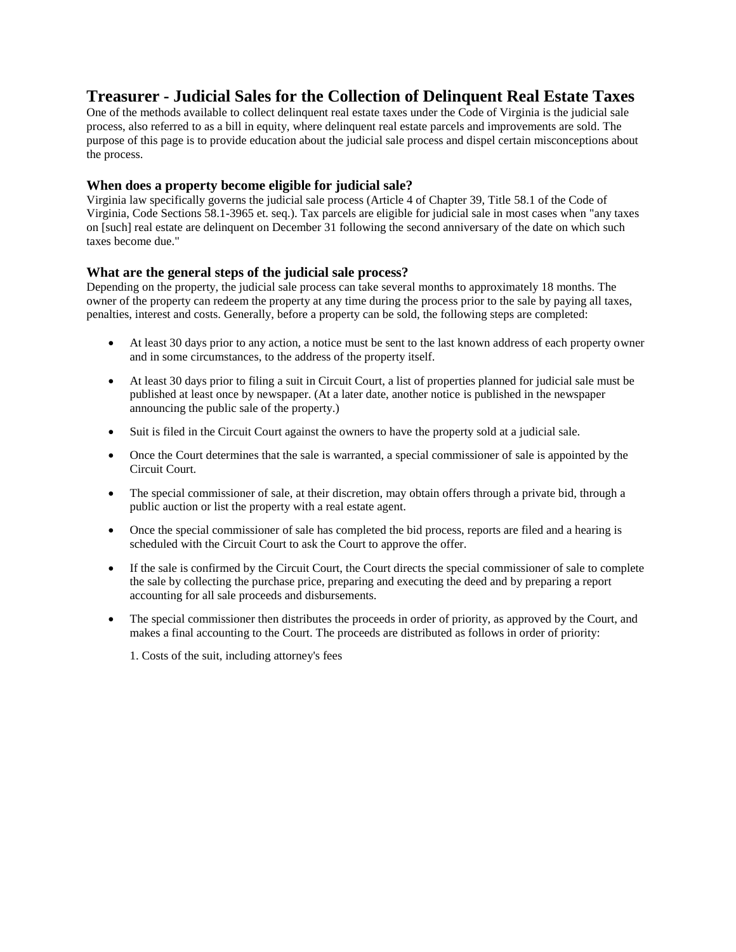# **Treasurer - Judicial Sales for the Collection of Delinquent Real Estate Taxes**

One of the methods available to collect delinquent real estate taxes under the Code of Virginia is the judicial sale process, also referred to as a bill in equity, where delinquent real estate parcels and improvements are sold. The purpose of this page is to provide education about the judicial sale process and dispel certain misconceptions about the process.

# **When does a property become eligible for judicial sale?**

Virginia law specifically governs the judicial sale process (Article 4 of Chapter 39, Title 58.1 of the Code of Virginia, Code Sections 58.1-3965 et. seq.). Tax parcels are eligible for judicial sale in most cases when "any taxes on [such] real estate are delinquent on December 31 following the second anniversary of the date on which such taxes become due."

## **What are the general steps of the judicial sale process?**

Depending on the property, the judicial sale process can take several months to approximately 18 months. The owner of the property can redeem the property at any time during the process prior to the sale by paying all taxes, penalties, interest and costs. Generally, before a property can be sold, the following steps are completed:

- At least 30 days prior to any action, a notice must be sent to the last known address of each property owner and in some circumstances, to the address of the property itself.
- At least 30 days prior to filing a suit in Circuit Court, a list of properties planned for judicial sale must be published at least once by newspaper. (At a later date, another notice is published in the newspaper announcing the public sale of the property.)
- Suit is filed in the Circuit Court against the owners to have the property sold at a judicial sale.
- Once the Court determines that the sale is warranted, a special commissioner of sale is appointed by the Circuit Court.
- The special commissioner of sale, at their discretion, may obtain offers through a private bid, through a public auction or list the property with a real estate agent.
- Once the special commissioner of sale has completed the bid process, reports are filed and a hearing is scheduled with the Circuit Court to ask the Court to approve the offer.
- If the sale is confirmed by the Circuit Court, the Court directs the special commissioner of sale to complete the sale by collecting the purchase price, preparing and executing the deed and by preparing a report accounting for all sale proceeds and disbursements.
- The special commissioner then distributes the proceeds in order of priority, as approved by the Court, and makes a final accounting to the Court. The proceeds are distributed as follows in order of priority:

1. Costs of the suit, including attorney's fees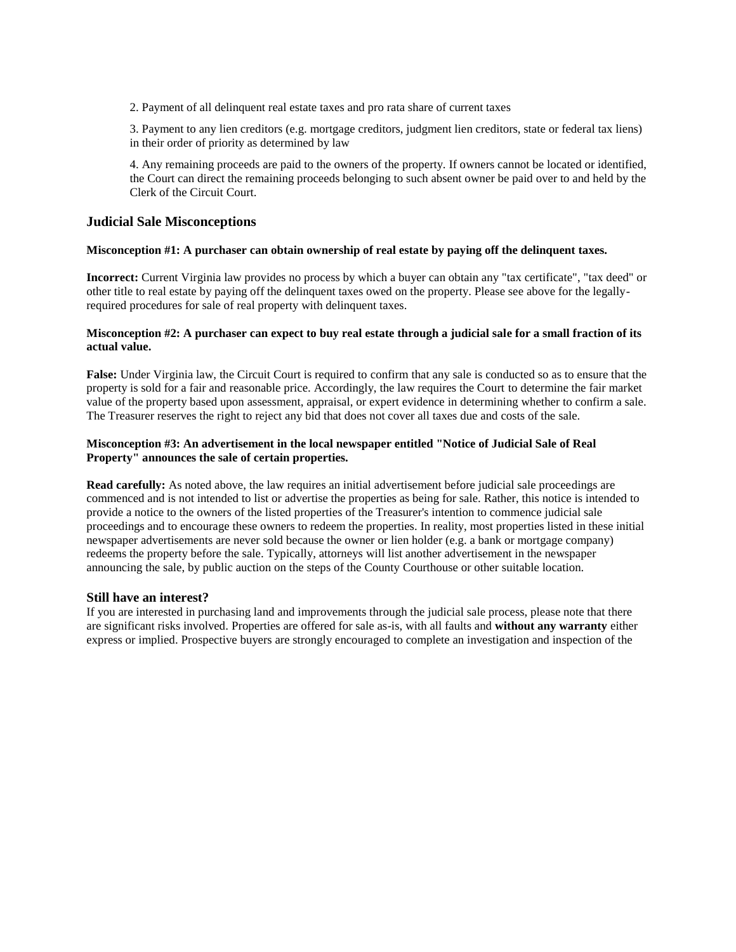2. Payment of all delinquent real estate taxes and pro rata share of current taxes

3. Payment to any lien creditors (e.g. mortgage creditors, judgment lien creditors, state or federal tax liens) in their order of priority as determined by law

4. Any remaining proceeds are paid to the owners of the property. If owners cannot be located or identified, the Court can direct the remaining proceeds belonging to such absent owner be paid over to and held by the Clerk of the Circuit Court.

### **Judicial Sale Misconceptions**

#### **Misconception #1: A purchaser can obtain ownership of real estate by paying off the delinquent taxes.**

**Incorrect:** Current Virginia law provides no process by which a buyer can obtain any "tax certificate", "tax deed" or other title to real estate by paying off the delinquent taxes owed on the property. Please see above for the legallyrequired procedures for sale of real property with delinquent taxes.

#### **Misconception #2: A purchaser can expect to buy real estate through a judicial sale for a small fraction of its actual value.**

**False:** Under Virginia law, the Circuit Court is required to confirm that any sale is conducted so as to ensure that the property is sold for a fair and reasonable price. Accordingly, the law requires the Court to determine the fair market value of the property based upon assessment, appraisal, or expert evidence in determining whether to confirm a sale. The Treasurer reserves the right to reject any bid that does not cover all taxes due and costs of the sale.

## **Misconception #3: An advertisement in the local newspaper entitled "Notice of Judicial Sale of Real Property" announces the sale of certain properties.**

**Read carefully:** As noted above, the law requires an initial advertisement before judicial sale proceedings are commenced and is not intended to list or advertise the properties as being for sale. Rather, this notice is intended to provide a notice to the owners of the listed properties of the Treasurer's intention to commence judicial sale proceedings and to encourage these owners to redeem the properties. In reality, most properties listed in these initial newspaper advertisements are never sold because the owner or lien holder (e.g. a bank or mortgage company) redeems the property before the sale. Typically, attorneys will list another advertisement in the newspaper announcing the sale, by public auction on the steps of the County Courthouse or other suitable location.

#### **Still have an interest?**

If you are interested in purchasing land and improvements through the judicial sale process, please note that there are significant risks involved. Properties are offered for sale as-is, with all faults and **without any warranty** either express or implied. Prospective buyers are strongly encouraged to complete an investigation and inspection of the